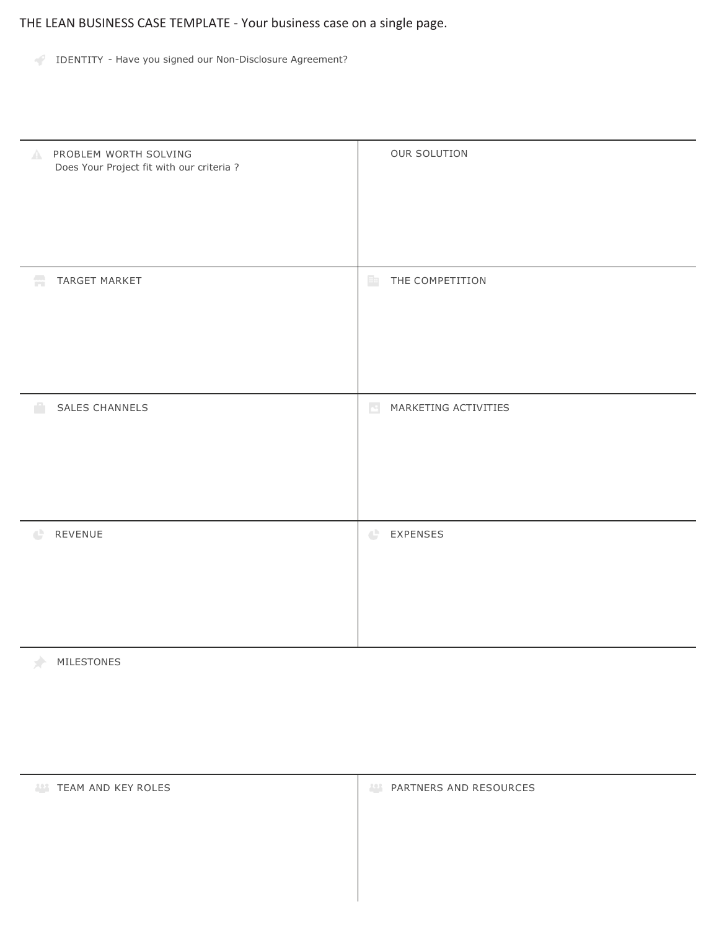THE LEAN BUSINESS CASE TEMPLATE - Your business case on a single page.

IDENTITY - Have you signed our Non-Disclosure Agreement?

| <b>NORTH SOLVING</b><br>Does Your Project fit with our criteria? | OUR SOLUTION                            |
|------------------------------------------------------------------|-----------------------------------------|
| $\mathbb{R}^2$                                                   | $\mathbb{H}\mathbb{H}$                  |
| TARGET MARKET                                                    | THE COMPETITION                         |
| SALES CHANNELS                                                   | $\mathbf{h}^{\mathcal{I}}_{\mathbf{h}}$ |
| m                                                                | MARKETING ACTIVITIES                    |
| REVENUE                                                          | $\mathbb{C}^n$                          |
| œ                                                                | <b>EXPENSES</b>                         |

MILESTONES

| <b>TEAM AND KEY ROLES</b> | PARTNERS AND RESOURCES<br>$\mathcal{L}(\mathcal{L})$ |
|---------------------------|------------------------------------------------------|
|                           |                                                      |
|                           |                                                      |
|                           |                                                      |
|                           |                                                      |
|                           |                                                      |